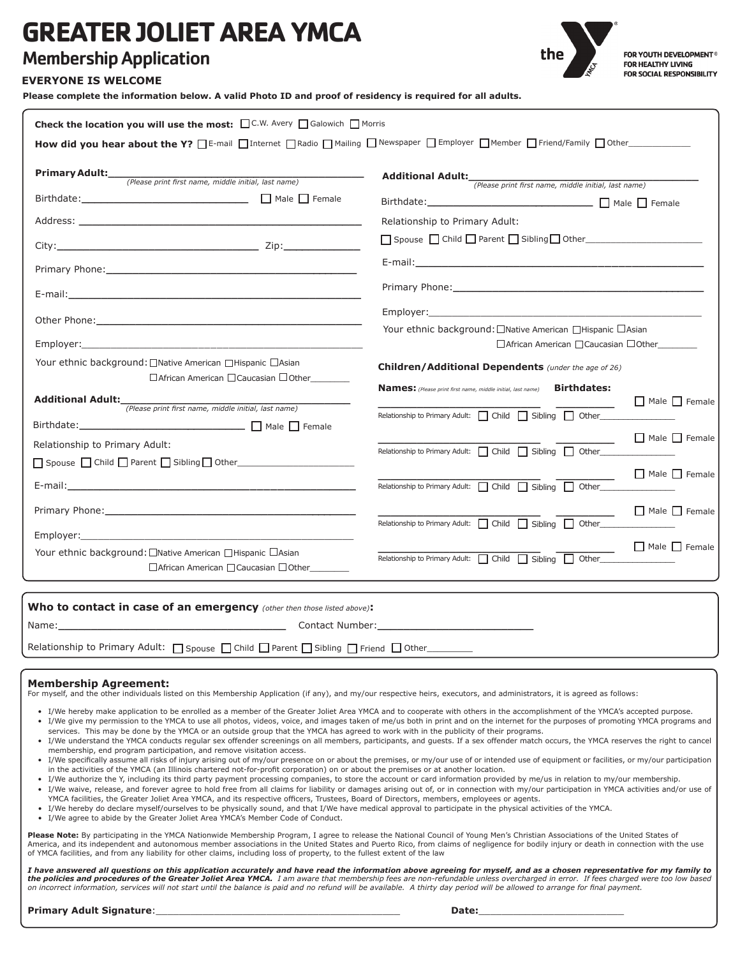# **GREATER JOLIET AREA YMCA**

# Membership Application



FOR YOUTH DEVELOPMENT® FOR HEALTHY LIVING FOR SOCIAL RESPONSIBILITY

#### **EVERYONE IS WELCOME**

**Please complete the information below. A valid Photo ID and proof of residency is required for all adults.**

| Check the location you will use the most: □C.W. Avery □ Galowich □ Morris                                                                                                                                                      |                                                                                                                 |                           |
|--------------------------------------------------------------------------------------------------------------------------------------------------------------------------------------------------------------------------------|-----------------------------------------------------------------------------------------------------------------|---------------------------|
| How did you hear about the Y? DE-mail DInternet DRadio DMailing DNewspaper DEmployer DMember DFriend/Family DOther                                                                                                             |                                                                                                                 |                           |
| <b>Primary Adult:</b> (Please print first name, middle initial, last name)                                                                                                                                                     | Additional Adult: (Please print first name, middle initial, last name)                                          |                           |
| Birthdate: Male Premale Premale Premale                                                                                                                                                                                        | Birthdate: ________________________________ □ Male □ Female                                                     |                           |
| Address: the contract of the contract of the contract of the contract of the contract of the contract of the contract of the contract of the contract of the contract of the contract of the contract of the contract of the c | Relationship to Primary Adult:                                                                                  |                           |
|                                                                                                                                                                                                                                |                                                                                                                 |                           |
|                                                                                                                                                                                                                                | E-mail: et al. and a state of the state of the state of the state of the state of the state of the state of the |                           |
|                                                                                                                                                                                                                                | Primary Phone: 2008 and 2008 and 2008 and 2008 and 2008 and 2008 and 2008 and 2008 and 2008 and 2008 and 2008   |                           |
|                                                                                                                                                                                                                                |                                                                                                                 |                           |
| Employer: with the contract of the contract of the contract of the contract of the contract of the contract of                                                                                                                 | Your ethnic background: □Native American □Hispanic □Asian<br>□ African American □ Caucasian □ Other             |                           |
| Your ethnic background: □Native American □Hispanic □Asian<br>$\Box$ African American $\Box$ Caucasian $\Box$ Other                                                                                                             | <b>Children/Additional Dependents</b> (under the age of 26)                                                     |                           |
| Additional Adult: <i>(Please print first name, middle initial, last name)</i>                                                                                                                                                  | Names: (Please print first name, middle initial, last name) Birthdates:                                         | $\Box$ Male $\Box$ Female |
| Birthdate: ___________________________________ [ Male   Female                                                                                                                                                                 | Relationship to Primary Adult:   Child   Sibling   Other                                                        |                           |
| Relationship to Primary Adult:                                                                                                                                                                                                 | Relationship to Primary Adult:   Child   Sibling   Other                                                        | $\Box$ Male $\Box$ Female |
| E-mail: E-mail: All and the second contract of the second contract of the second contract of the second contract of the second contract of the second contract of the second contract of the second contract of the second con | Relationship to Primary Adult: $\Box$ Child $\Box$ Sibling $\Box$ Other                                         | $\Box$ Male $\Box$ Female |
|                                                                                                                                                                                                                                | Relationship to Primary Adult:   Child   Sibling   Other                                                        | $\Box$ Male $\Box$ Female |
|                                                                                                                                                                                                                                |                                                                                                                 |                           |
| Your ethnic background: □Native American □Hispanic □Asian<br>□ African American □ Caucasian □ Other                                                                                                                            | Relationship to Primary Adult: $\Box$ Child $\Box$ Sibling $\Box$ Other                                         | $\Box$ Male $\Box$ Female |
| Who to contact in case of an emergency (other then those listed above):                                                                                                                                                        |                                                                                                                 |                           |

| Name: | Contact Number: |
|-------|-----------------|
|       |                 |

Relationship to Primary Adult:  $\Box$  Spouse  $\Box$  Child  $\Box$  Parent  $\Box$  Sibling  $\Box$  Friend  $\Box$  Other\_\_\_\_\_\_\_\_

#### **Membership Agreement:**

For myself, and the other individuals listed on this Membership Application (if any), and my/our respective heirs, executors, and administrators, it is agreed as follows:

- I/We hereby make application to be enrolled as a member of the Greater Joliet Area YMCA and to cooperate with others in the accomplishment of the YMCA's accepted purpose. • I/We give my permission to the YMCA to use all photos, videos, voice, and images taken of me/us both in print and on the internet for the purposes of promoting YMCA programs and services. This may be done by the YMCA or an outside group that the YMCA has agreed to work with in the publicity of their programs.
- I/We understand the YMCA conducts regular sex offender screenings on all members, participants, and guests. If a sex offender match occurs, the YMCA reserves the right to cancel membership, end program participation, and remove visitation access.
- I/We specifically assume all risks of injury arising out of my/our presence on or about the premises, or my/our use of or intended use of equipment or facilities, or my/our participation in the activities of the YMCA (an Illinois chartered not-for-profit corporation) on or about the premises or at another location.
- I/We authorize the Y, including its third party payment processing companies, to store the account or card information provided by me/us in relation to my/our membership.
- I/We waive, release, and forever agree to hold free from all claims for liability or damages arising out of, or in connection with my/our participation in YMCA activities and/or use of YMCA facilities, the Greater Joliet Area YMCA, and its respective officers, Trustees, Board of Directors, members, employees or agents.
- I/We hereby do declare myself/ourselves to be physically sound, and that I/We have medical approval to participate in the physical activities of the YMCA.
- I/We agree to abide by the Greater Joliet Area YMCA's Member Code of Conduct.

Please Note: By participating in the YMCA Nationwide Membership Program, I agree to release the National Council of Young Men's Christian Associations of the United States of America, and its independent and autonomous member associations in the United States and Puerto Rico, from claims of negligence for bodily injury or death in connection with the use of YMCA facilities, and from any liability for other claims, including loss of property, to the fullest extent of the law

*I have answered all questions on this application accurately and have read the information above agreeing for myself, and as a chosen representative for my family to*  **the policies and procedures of the Greater Joliet Area YMCA.** I am aware that membership fees are non-refundable unless overcharged in error. If fees charged were too low based<br>on incorrect information, services will not

**Primary Adult Signature**:\_\_\_\_\_\_\_\_\_\_\_\_\_\_\_\_\_\_\_\_\_\_\_\_\_\_\_\_\_\_\_\_\_\_\_\_\_\_\_\_\_\_ **Date:**\_\_\_\_\_\_\_\_\_\_\_\_\_\_\_\_\_\_\_\_\_\_\_\_\_